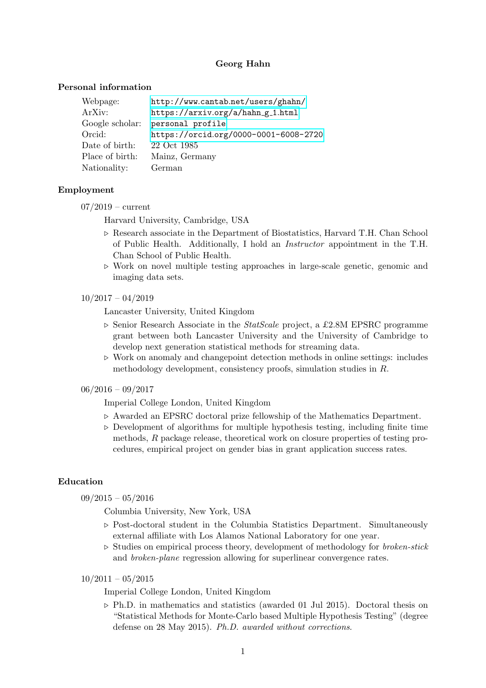# Georg Hahn

### Personal information

| Webpage:        | http://www.cantab.net/users/ghahn/    |
|-----------------|---------------------------------------|
| ArXiv:          | https://arxiv.org/a/hahn_g_1.html     |
| Google scholar: | personal profile                      |
| Orcid:          | https://orcid.org/0000-0001-6008-2720 |
| Date of birth:  | 22 Oct 1985                           |
| Place of birth: | Mainz, Germany                        |
| Nationality:    | German                                |

### Employment

 $07/2019$  – current

Harvard University, Cambridge, USA

- $\triangleright$  Research associate in the Department of Biostatistics, Harvard T.H. Chan School of Public Health. Additionally, I hold an Instructor appointment in the T.H. Chan School of Public Health.
- $\triangleright$  Work on novel multiple testing approaches in large-scale genetic, genomic and imaging data sets.
- $10/2017 04/2019$

Lancaster University, United Kingdom

- $\triangleright$  Senior Research Associate in the *StatScale* project, a £2.8M EPSRC programme grant between both Lancaster University and the University of Cambridge to develop next generation statistical methods for streaming data.
- $\triangleright$  Work on anomaly and changepoint detection methods in online settings: includes methodology development, consistency proofs, simulation studies in R.
- $06/2016 09/2017$

Imperial College London, United Kingdom

- $\triangleright$  Awarded an EPSRC doctoral prize fellowship of the Mathematics Department.
- $\triangleright$  Development of algorithms for multiple hypothesis testing, including finite time methods, R package release, theoretical work on closure properties of testing procedures, empirical project on gender bias in grant application success rates.

# Education

 $09/2015 - 05/2016$ 

Columbia University, New York, USA

- $\triangleright$  Post-doctoral student in the Columbia Statistics Department. Simultaneously external affiliate with Los Alamos National Laboratory for one year.
- $\triangleright$  Studies on empirical process theory, development of methodology for *broken-stick* and broken-plane regression allowing for superlinear convergence rates.

 $10/2011 - 05/2015$ 

Imperial College London, United Kingdom

 $\triangleright$  Ph.D. in mathematics and statistics (awarded 01 Jul 2015). Doctoral thesis on "Statistical Methods for Monte-Carlo based Multiple Hypothesis Testing" (degree defense on 28 May 2015). Ph.D. awarded without corrections.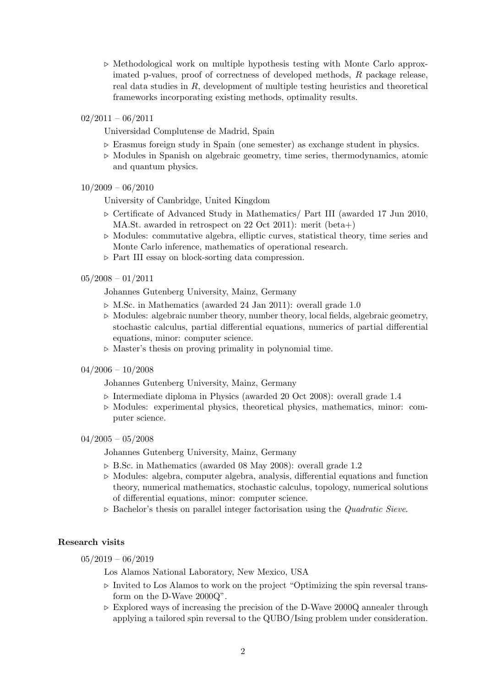- $\triangleright$  Methodological work on multiple hypothesis testing with Monte Carlo approximated p-values, proof of correctness of developed methods, R package release, real data studies in R, development of multiple testing heuristics and theoretical frameworks incorporating existing methods, optimality results.
- $02/2011 06/2011$

Universidad Complutense de Madrid, Spain

- $\triangleright$  Erasmus foreign study in Spain (one semester) as exchange student in physics.
- $\triangleright$  Modules in Spanish on algebraic geometry, time series, thermodynamics, atomic and quantum physics.

### $10/2009 - 06/2010$

University of Cambridge, United Kingdom

- $\triangleright$  Certificate of Advanced Study in Mathematics/ Part III (awarded 17 Jun 2010, MA.St. awarded in retrospect on 22 Oct 2011): merit (beta+)
- $\triangleright$  Modules: commutative algebra, elliptic curves, statistical theory, time series and Monte Carlo inference, mathematics of operational research.
- $\triangleright$  Part III essay on block-sorting data compression.

#### $05/2008 - 01/2011$

Johannes Gutenberg University, Mainz, Germany

- $\triangleright$  M.Sc. in Mathematics (awarded 24 Jan 2011): overall grade 1.0
- $\triangleright$  Modules: algebraic number theory, number theory, local fields, algebraic geometry, stochastic calculus, partial differential equations, numerics of partial differential equations, minor: computer science.
- $\triangleright$  Master's thesis on proving primality in polynomial time.
- $04/2006 10/2008$

Johannes Gutenberg University, Mainz, Germany

- $\triangleright$  Intermediate diploma in Physics (awarded 20 Oct 2008): overall grade 1.4
- $\triangleright$  Modules: experimental physics, theoretical physics, mathematics, minor: computer science.

#### $04/2005 - 05/2008$

Johannes Gutenberg University, Mainz, Germany

- $\triangleright$  B.Sc. in Mathematics (awarded 08 May 2008): overall grade 1.2
- $\triangleright$  Modules: algebra, computer algebra, analysis, differential equations and function theory, numerical mathematics, stochastic calculus, topology, numerical solutions of differential equations, minor: computer science.
- $\triangleright$  Bachelor's thesis on parallel integer factorisation using the *Quadratic Sieve.*

### Research visits

 $05/2019 - 06/2019$ 

Los Alamos National Laboratory, New Mexico, USA

- $\triangleright$  Invited to Los Alamos to work on the project "Optimizing the spin reversal transform on the D-Wave 2000Q".
- $\triangleright$  Explored ways of increasing the precision of the D-Wave 2000Q annealer through applying a tailored spin reversal to the QUBO/Ising problem under consideration.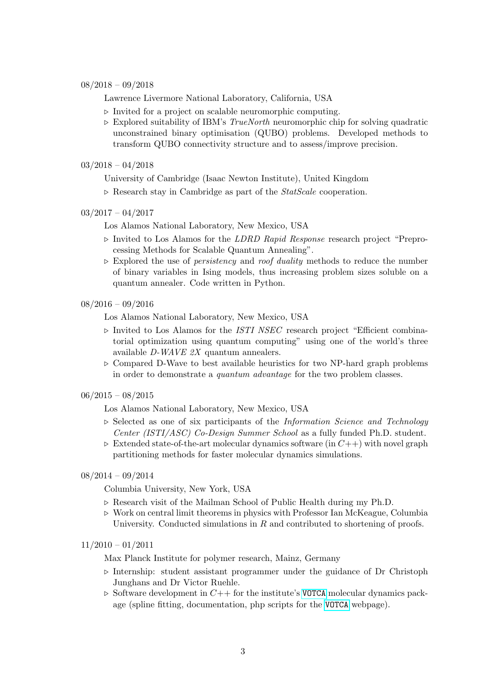### $08/2018 - 09/2018$

Lawrence Livermore National Laboratory, California, USA

- $\triangleright$  Invited for a project on scalable neuromorphic computing.
- $\triangleright$  Explored suitability of IBM's *TrueNorth* neuromorphic chip for solving quadratic unconstrained binary optimisation (QUBO) problems. Developed methods to transform QUBO connectivity structure and to assess/improve precision.

### $03/2018 - 04/2018$

University of Cambridge (Isaac Newton Institute), United Kingdom

 $\triangleright$  Research stay in Cambridge as part of the *StatScale* cooperation.

### $03/2017 - 04/2017$

Los Alamos National Laboratory, New Mexico, USA

- $\triangleright$  Invited to Los Alamos for the *LDRD Rapid Response* research project "Preprocessing Methods for Scalable Quantum Annealing".
- $\triangleright$  Explored the use of *persistency* and *roof duality* methods to reduce the number of binary variables in Ising models, thus increasing problem sizes soluble on a quantum annealer. Code written in Python.

### 08/2016 – 09/2016

Los Alamos National Laboratory, New Mexico, USA

- $\triangleright$  Invited to Los Alamos for the *ISTI NSEC* research project "Efficient combinatorial optimization using quantum computing" using one of the world's three available D-WAVE 2X quantum annealers.
- $\triangleright$  Compared D-Wave to best available heuristics for two NP-hard graph problems in order to demonstrate a quantum advantage for the two problem classes.

### $06/2015 - 08/2015$

Los Alamos National Laboratory, New Mexico, USA

- $\triangleright$  Selected as one of six participants of the *Information Science and Technology* Center (ISTI/ASC) Co-Design Summer School as a fully funded Ph.D. student.
- $\triangleright$  Extended state-of-the-art molecular dynamics software (in  $C_{++}$ ) with novel graph partitioning methods for faster molecular dynamics simulations.

# 08/2014 – 09/2014

Columbia University, New York, USA

- $\triangleright$  Research visit of the Mailman School of Public Health during my Ph.D.
- $\triangleright$  Work on central limit theorems in physics with Professor Ian McKeague, Columbia University. Conducted simulations in  $R$  and contributed to shortening of proofs.

# 11/2010 – 01/2011

Max Planck Institute for polymer research, Mainz, Germany

- $\triangleright$  Internship: student assistant programmer under the guidance of Dr Christoph Junghans and Dr Victor Ruehle.
- $\triangleright$  Software development in  $C++$  for the institute's [VOTCA](http://www.votca.org/) molecular dynamics package (spline fitting, documentation, php scripts for the [VOTCA](http://www.votca.org/) webpage).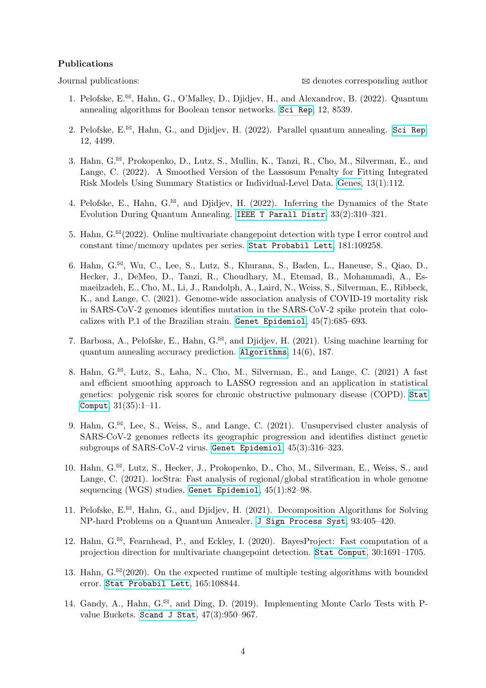### Publications

- 1. Pelofske, E.<sup> $\boxtimes$ </sup>, Hahn, G., O'Malley, D., Djidjev, H., and Alexandrov, B. (2022). Quantum annealing algorithms for Boolean tensor networks. [Sci Rep](https://doi.org/10.1038/s41598-022-12611-9), 12, 8539.
- 2. Pelofske,  $E^{\boxtimes}$ , Hahn, G., and Djidjev, H. (2022). Parallel quantum annealing. [Sci Rep](https://doi.org/10.1038/s41598-022-08394-8), 12, 4499.
- 3. Hahn,  $G^{\boxtimes}$ , Prokopenko, D., Lutz, S., Mullin, K., Tanzi, R., Cho, M., Silverman, E., and Lange, C. (2022). A Smoothed Version of the Lassosum Penalty for Fitting Integrated Risk Models Using Summary Statistics or Individual-Level Data. [Genes,](https://doi.org/10.3390/genes13010112) 13(1):112.
- 4. Pelofske, E., Hahn, G.<sup> $\Xi$ </sup>, and Djidjev, H. (2022). Inferring the Dynamics of the State Evolution During Quantum Annealing. [IEEE T Parall Distr](https://doi.org/10.1109/TPDS.2020.3044846), 33(2):310–321.
- 5. Hahn,  $G^{\boxtimes}(2022)$ . Online multivariate changepoint detection with type I error control and constant time/memory updates per series. [Stat Probabil Lett](https://doi.org/10.1016/j.spl.2021.109258), 181:109258.
- 6. Hahn, G.<sup> $\Xi$ </sup>, Wu, C., Lee, S., Lutz, S., Khurana, S., Baden, L., Haneuse, S., Qiao, D., Hecker, J., DeMeo, D., Tanzi, R., Choudhary, M., Etemad, B., Mohammadi, A., Esmaeilzadeh, E., Cho, M., Li, J., Randolph, A., Laird, N., Weiss, S., Silverman, E., Ribbeck, K., and Lange, C. (2021). Genome-wide association analysis of COVID-19 mortality risk in SARS-CoV-2 genomes identifies mutation in the SARS-CoV-2 spike protein that colocalizes with P.1 of the Brazilian strain. [Genet Epidemiol](https://doi.org/10.1002/gepi.22421), 45(7):685–693.
- 7. Barbosa, A., Pelofske, E., Hahn, G. $^{\boxtimes}$ , and Djidjev, H. (2021). Using machine learning for quantum annealing accuracy prediction. [Algorithms](https://doi.org/10.3390/a14060187), 14(6), 187.
- 8. Hahn, G. $^{\boxtimes}$ , Lutz, S., Laha, N., Cho, M., Silverman, E., and Lange, C. (2021) A fast and efficient smoothing approach to LASSO regression and an application in statistical genetics: polygenic risk scores for chronic obstructive pulmonary disease (COPD). [Stat](https://doi.org/10.1007/s11222-021-10010-0) [Comput](https://doi.org/10.1007/s11222-021-10010-0), 31(35):1–11.
- 9. Hahn,  $G^{\boxtimes}$ , Lee, S., Weiss, S., and Lange, C. (2021). Unsupervised cluster analysis of SARS-CoV-2 genomes reflects its geographic progression and identifies distinct genetic subgroups of SARS-CoV-2 virus. [Genet Epidemiol](https://doi.org/10.1002/gepi.22373), 45(3):316–323.
- 10. Hahn, G.<sup> $\boxtimes$ </sup>, Lutz, S., Hecker, J., Prokopenko, D., Cho, M., Silverman, E., Weiss, S., and Lange, C. (2021). locStra: Fast analysis of regional/global stratification in whole genome sequencing (WGS) studies. [Genet Epidemiol](https://doi.org/10.1002/gepi.22356), 45(1):82–98.
- 11. Pelofske,  $E^{\boxtimes}$ , Hahn, G., and Djidjev, H. (2021). Decomposition Algorithms for Solving NP-hard Problems on a Quantum Annealer. [J Sign Process Syst](https://doi.org/10.1007/s11265-020-01550-1), 93:405–420.
- 12. Hahn,  $G^{\boxtimes}$ , Fearnhead, P., and Eckley, I. (2020). BayesProject: Fast computation of a projection direction for multivariate changepoint detection. [Stat Comput](https://doi.org/10.1007/s11222-020-09966-2), 30:1691–1705.
- 13. Hahn,  $G^{\boxtimes}(2020)$ . On the expected runtime of multiple testing algorithms with bounded error. [Stat Probabil Lett](https://doi.org/10.1016/j.spl.2020.108844), 165:108844.
- 14. Gandy, A., Hahn, G.<sup> $\boxtimes$ </sup>, and Ding, D. (2019). Implementing Monte Carlo Tests with Pvalue Buckets. [Scand J Stat](https://doi.org/10.1111/sjos.12434), 47(3):950–967.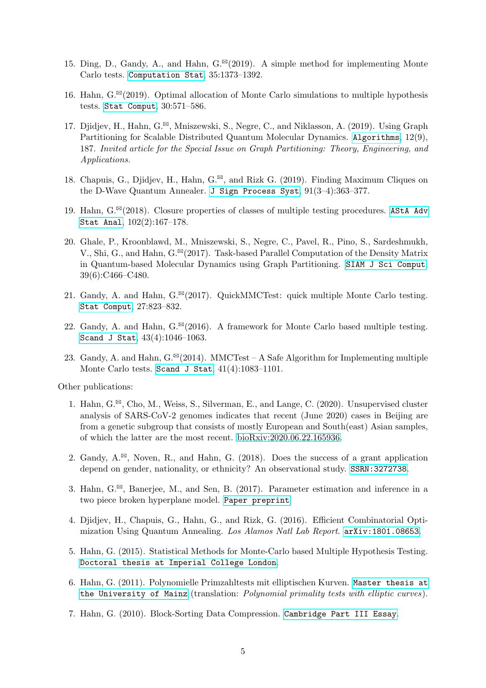- 15. Ding, D., Gandy, A., and Hahn,  $G^{\boxtimes}(2019)$ . A simple method for implementing Monte Carlo tests. [Computation Stat](https://doi.org/10.1007/s00180-019-00927-6), 35:1373–1392.
- 16. Hahn,  $G^{\boxtimes}(2019)$ . Optimal allocation of Monte Carlo simulations to multiple hypothesis tests. [Stat Comput](https://doi.org/10.1007/s11222-019-09906-9), 30:571–586.
- 17. Djidjev, H., Hahn, G.<sup> $\boxtimes$ </sup>, Mniszewski, S., Negre, C., and Niklasson, A. (2019). Using Graph Partitioning for Scalable Distributed Quantum Molecular Dynamics. [Algorithms](https://doi.org/10.3390/a12090187), 12(9), 187. Invited article for the Special Issue on Graph Partitioning: Theory, Engineering, and Applications.
- 18. Chapuis, G., Djidjev, H., Hahn, G. $^{\boxtimes}$ , and Rizk G. (2019). Finding Maximum Cliques on the D-Wave Quantum Annealer. [J Sign Process Syst](https://doi.org/10.1007/s11265-018-1357-8), 91(3–4):363–377.
- 19. Hahn,  $G^{\boxtimes}(2018)$ . Closure properties of classes of multiple testing procedures. [AStA Adv](https://doi.org/10.1007/s10182-017-0297-0) [Stat Anal](https://doi.org/10.1007/s10182-017-0297-0), 102(2):167–178.
- 20. Ghale, P., Kroonblawd, M., Mniszewski, S., Negre, C., Pavel, R., Pino, S., Sardeshmukh, V., Shi, G., and Hahn,  $G^{\boxtimes}(2017)$ . Task-based Parallel Computation of the Density Matrix in Quantum-based Molecular Dynamics using Graph Partitioning. [SIAM J Sci Comput](https://doi.org/10.1137/16M109404X), 39(6):C466–C480.
- 21. Gandy, A. and Hahn,  $G^{\boxtimes}(2017)$ . QuickMMCTest: quick multiple Monte Carlo testing. [Stat Comput](https://doi.org/10.1007/s11222-016-9656-z), 27:823–832.
- 22. Gandy, A. and Hahn,  $G^{\boxtimes}(2016)$ . A framework for Monte Carlo based multiple testing. [Scand J Stat](https://doi.org/10.1111/sjos.12228), 43(4):1046–1063.
- 23. Gandy, A. and Hahn,  $G^{\boxtimes}(2014)$ . MMCTest A Safe Algorithm for Implementing multiple Monte Carlo tests. [Scand J Stat](https://doi.org/10.1111/sjos.12085), 41(4):1083–1101.

Other publications:

- 1. Hahn,  $G^{\boxtimes}$ , Cho, M., Weiss, S., Silverman, E., and Lange, C. (2020). Unsupervised cluster analysis of SARS-CoV-2 genomes indicates that recent (June 2020) cases in Beijing are from a genetic subgroup that consists of mostly European and South(east) Asian samples, of which the latter are the most recent. [bioRxiv:2020.06.22.165936.](https://doi.org/10.1101/2020.06.22.165936)
- 2. Gandy,  $A^{\boxtimes}$ , Noven, R., and Hahn, G. (2018). Does the success of a grant application depend on gender, nationality, or ethnicity? An observational study. [SSRN:3272738](http://ssrn.com/abstract=3272738).
- 3. Hahn,  $G^{\boxtimes}$ , Banerjee, M., and Sen, B. (2017). Parameter estimation and inference in a two piece broken hyperplane model. [Paper preprint](http://www.cantab.net/users/ghahn/preprints/PhaseRegMultiDim.pdf).
- 4. Djidjev, H., Chapuis, G., Hahn, G., and Rizk, G. (2016). Efficient Combinatorial Optimization Using Quantum Annealing. Los Alamos Natl Lab Report. [arXiv:1801.08653](https://arxiv.org/abs/1801.08653).
- 5. Hahn, G. (2015). Statistical Methods for Monte-Carlo based Multiple Hypothesis Testing. [Doctoral thesis at Imperial College London](https://spiral.imperial.ac.uk:8443/handle/10044/1/25279).
- 6. Hahn, G. (2011). Polynomielle Primzahltests mit elliptischen Kurven. [Master thesis at](http://doi.org/10.25358/openscience-2841) [the University of Mainz](http://doi.org/10.25358/openscience-2841) (translation: Polynomial primality tests with elliptic curves).
- 7. Hahn, G. (2010). Block-Sorting Data Compression. [Cambridge Part III Essay](http://www.cantab.net/users/ghahn/preprints/part3.pdf).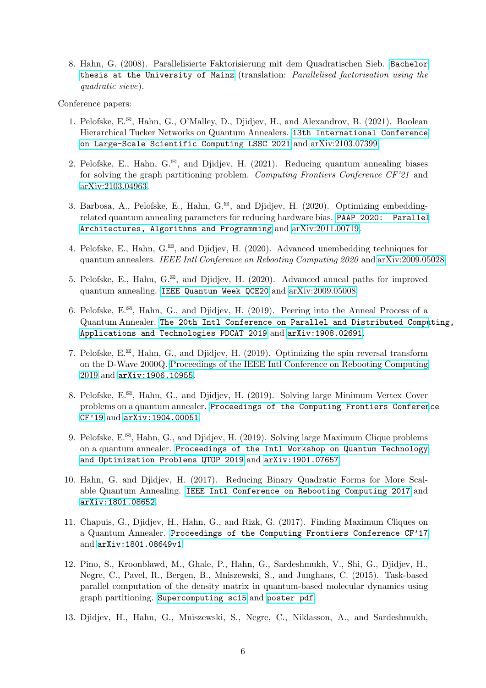8. Hahn, G. (2008). Parallelisierte Faktorisierung mit dem Quadratischen Sieb. [Bachelor](http://doi.org/10.25358/openscience-1393) [thesis at the University of Mainz](http://doi.org/10.25358/openscience-1393) (translation: Parallelised factorisation using the quadratic sieve).

Conference papers:

- 1. Pelofske,  $E^{\boxtimes}$ , Hahn, G., O'Malley, D., Diidiev, H., and Alexandrov, B. (2021). Boolean Hierarchical Tucker Networks on Quantum Annealers. [13th International Conference](https://doi.org/10.1007/978-3-030-97549-4_40) [on Large-Scale Scientific Computing LSSC 2021](https://doi.org/10.1007/978-3-030-97549-4_40) and [arXiv:2103.07399.](https://arxiv.org/abs/2103.07399)
- 2. Pelofske, E., Hahn, G.<sup> $\boxtimes$ </sup>, and Djidjev, H. (2021). Reducing quantum annealing biases for solving the graph partitioning problem. Computing Frontiers Conference CF'21 and [arXiv:2103.04963.](https://arxiv.org/abs/2103.04963)
- 3. Barbosa, A., Pelofske, E., Hahn, G. $^{\boxtimes}$ , and Djidjev, H. (2020). Optimizing embeddingrelated quantum annealing parameters for reducing hardware bias. [PAAP 2020: Parallel](https://doi.org/10.1007/978-981-16-0010-4_15) [Architectures, Algorithms and Programming](https://doi.org/10.1007/978-981-16-0010-4_15) and [arXiv:2011.00719.](https://arxiv.org/abs/2011.00719)
- 4. Pelofske, E., Hahn, G. $^{\boxtimes}$ , and Djidjev, H. (2020). Advanced unembedding techniques for quantum annealers. IEEE Intl Conference on Rebooting Computing 2020 and [arXiv:2009.05028.](https://arxiv.org/abs/2009.05028)
- 5. Pelofske, E., Hahn, G.<sup> $\Xi$ </sup>, and Djidjev, H. (2020). Advanced anneal paths for improved quantum annealing. [IEEE Quantum Week QCE20](https://public.lanl.gov/djidjev/papers/Advanced_anneal_paths_for_improved_quantum_annealing.pdf) and [arXiv:2009.05008.](https://arxiv.org/abs/2009.05008)
- 6. Pelofske, E. $^{\boxtimes}$ , Hahn, G., and Djidjev, H. (2019). Peering into the Anneal Process of a Quantum Annealer. [The 20th Intl Conference on Parallel and Distributed Compu](https://www.pdcat.org/program.pdf)ting, [Applications and Technologies PDCAT 2019](https://www.pdcat.org/program.pdf) and [arXiv:1908.02691](https://arxiv.org/abs/1908.02691).
- 7. Pelofske,  $E^{\boxtimes}$ , Hahn, G., and Djidjev, H. (2019). Optimizing the spin reversal transform on the D-Wave 2000Q. [Proceedings of the IEEE Intl Conference on Rebooting Computing](https://doi.org/10.1109/ICRC.2019.8914719) [2019](https://doi.org/10.1109/ICRC.2019.8914719) and [arXiv:1906.10955](https://arxiv.org/abs/1906.10955).
- 8. Pelofske,  $E^{\boxtimes}$ , Hahn, G., and Djidjev, H. (2019). Solving large Minimum Vertex Cover problems on a quantum annealer. [Proceedings of the Computing Frontiers Conferen](https://dl.acm.org/citation.cfm?doid=3310273.3321562)ce [CF'19](https://dl.acm.org/citation.cfm?doid=3310273.3321562) and [arXiv:1904.00051](https://arxiv.org/abs/1904.00051).
- 9. Pelofske, E. $\mathbb{B}$ , Hahn, G., and Diidjev, H. (2019). Solving large Maximum Clique problems on a quantum annealer. [Proceedings of the Intl Workshop on Quantum Technology](https://www.springer.com/us/book/9783030140816) [and Optimization Problems QTOP 2019](https://www.springer.com/us/book/9783030140816) and [arXiv:1901.07657](https://arxiv.org/abs/1901.07657).
- 10. Hahn, G. and Djidjev, H. (2017). Reducing Binary Quadratic Forms for More Scalable Quantum Annealing. [IEEE Intl Conference on Rebooting Computing 2017](http://icrc.ieee.org/files/2017/11/icrc2017-program_v8.pdf) and [arXiv:1801.08652](https://arxiv.org/abs/1801.08652).
- 11. Chapuis, G., Djidjev, H., Hahn, G., and Rizk, G. (2017). Finding Maximum Cliques on a Quantum Annealer. [Proceedings of the Computing Frontiers Conference CF'17](https://dl.acm.org/citation.cfm?doid=3075564.3075575) and [arXiv:1801.08649v1](https://arxiv.org/abs/1801.08649v1).
- 12. Pino, S., Kroonblawd, M., Ghale, P., Hahn, G., Sardeshmukh, V., Shi, G., Djidjev, H., Negre, C., Pavel, R., Bergen, B., Mniszewski, S., and Junghans, C. (2015). Task-based parallel computation of the density matrix in quantum-based molecular dynamics using graph partitioning. [Supercomputing sc15](http://sc15.supercomputing.org/sites/all/themes/SC15images/tech_poster/tech_poster_pages/post247.html) and [poster pdf](http://www.cantab.net/users/ghahn/preprints/CoDesignSummerSchool2015poster3.pdf).
- 13. Djidjev, H., Hahn, G., Mniszewski, S., Negre, C., Niklasson, A., and Sardeshmukh,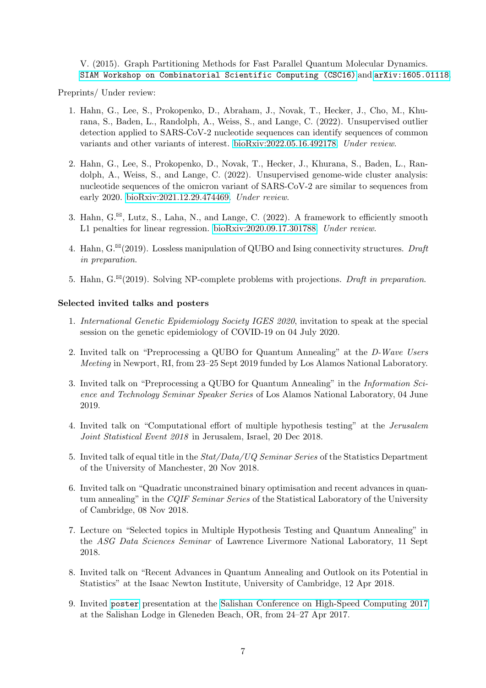V. (2015). Graph Partitioning Methods for Fast Parallel Quantum Molecular Dynamics. [SIAM Workshop on Combinatorial Scientific Computing \(CSC16\)](http://www.eecs.wsu.edu/~assefaw/CSC16/Accepted.html) and [arXiv:1605.01118](http://arxiv.org/abs/1605.01118).

Preprints/ Under review:

- 1. Hahn, G., Lee, S., Prokopenko, D., Abraham, J., Novak, T., Hecker, J., Cho, M., Khurana, S., Baden, L., Randolph, A., Weiss, S., and Lange, C. (2022). Unsupervised outlier detection applied to SARS-CoV-2 nucleotide sequences can identify sequences of common variants and other variants of interest. [bioRxiv:2022.05.16.492178.](https://doi.org/10.1101/2022.05.16.492178) Under review.
- 2. Hahn, G., Lee, S., Prokopenko, D., Novak, T., Hecker, J., Khurana, S., Baden, L., Randolph, A., Weiss, S., and Lange, C. (2022). Unsupervised genome-wide cluster analysis: nucleotide sequences of the omicron variant of SARS-CoV-2 are similar to sequences from early 2020. [bioRxiv:2021.12.29.474469.](https://doi.org/10.1101/2021.12.29.474469) Under review.
- 3. Hahn,  $G^{\boxtimes}$ , Lutz, S., Laha, N., and Lange, C. (2022). A framework to efficiently smooth L1 penalties for linear regression. [bioRxiv:2020.09.17.301788.](https://doi.org/10.1101/2020.09.17.301788) Under review.
- 4. Hahn,  $G^{\boxtimes}(2019)$ . Lossless manipulation of QUBO and Ising connectivity structures. Draft in preparation.
- 5. Hahn,  $G^{\boxtimes}(2019)$ . Solving NP-complete problems with projections. Draft in preparation.

# Selected invited talks and posters

- 1. International Genetic Epidemiology Society IGES 2020, invitation to speak at the special session on the genetic epidemiology of COVID-19 on 04 July 2020.
- 2. Invited talk on "Preprocessing a QUBO for Quantum Annealing" at the D-Wave Users Meeting in Newport, RI, from 23–25 Sept 2019 funded by Los Alamos National Laboratory.
- 3. Invited talk on "Preprocessing a QUBO for Quantum Annealing" in the Information Science and Technology Seminar Speaker Series of Los Alamos National Laboratory, 04 June 2019.
- 4. Invited talk on "Computational effort of multiple hypothesis testing" at the Jerusalem Joint Statistical Event 2018 in Jerusalem, Israel, 20 Dec 2018.
- 5. Invited talk of equal title in the Stat/Data/UQ Seminar Series of the Statistics Department of the University of Manchester, 20 Nov 2018.
- 6. Invited talk on "Quadratic unconstrained binary optimisation and recent advances in quantum annealing" in the CQIF Seminar Series of the Statistical Laboratory of the University of Cambridge, 08 Nov 2018.
- 7. Lecture on "Selected topics in Multiple Hypothesis Testing and Quantum Annealing" in the ASG Data Sciences Seminar of Lawrence Livermore National Laboratory, 11 Sept 2018.
- 8. Invited talk on "Recent Advances in Quantum Annealing and Outlook on its Potential in Statistics" at the Isaac Newton Institute, University of Cambridge, 12 Apr 2018.
- 9. Invited [poster](http://www.cantab.net/users/ghahn/preprints/salishan.pdf) presentation at the [Salishan Conference on High-Speed Computing 2017](http://salishan.ahsc-nm.org/2017.html) at the Salishan Lodge in Gleneden Beach, OR, from 24–27 Apr 2017.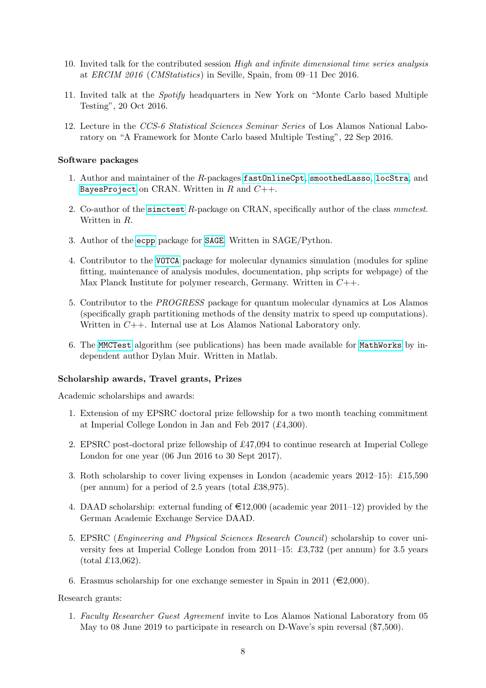- 10. Invited talk for the contributed session High and infinite dimensional time series analysis at ERCIM 2016 (CMStatistics) in Seville, Spain, from 09–11 Dec 2016.
- 11. Invited talk at the Spotify headquarters in New York on "Monte Carlo based Multiple Testing", 20 Oct 2016.
- 12. Lecture in the CCS-6 Statistical Sciences Seminar Series of Los Alamos National Laboratory on "A Framework for Monte Carlo based Multiple Testing", 22 Sep 2016.

# Software packages

- 1. Author and maintainer of the R-packages [fastOnlineCpt](https://cran.r-project.org/package=fastOnlineCpt), [smoothedLasso](https://cran.r-project.org/package=smoothedLasso), [locStra](https://cran.r-project.org/package=locStra), and [BayesProject](https://cran.r-project.org/package=BayesProject) on CRAN. Written in  $R$  and  $C++$ .
- 2. Co-author of the sime test R-package on CRAN, specifically author of the class methods. Written in  $R$ .
- 3. Author of the [ecpp](http://trac.sagemath.org) package for [SAGE](http://www.sagemath.org/). Written in SAGE/Python.
- 4. Contributor to the [VOTCA](http://www.votca.org/) package for molecular dynamics simulation (modules for spline fitting, maintenance of analysis modules, documentation, php scripts for webpage) of the Max Planck Institute for polymer research, Germany. Written in  $C_{++}$ .
- 5. Contributor to the PROGRESS package for quantum molecular dynamics at Los Alamos (specifically graph partitioning methods of the density matrix to speed up computations). Written in  $C_{++}$ . Internal use at Los Alamos National Laboratory only.
- 6. The [MMCTest](http://onlinelibrary.wiley.com/doi/10.1111/sjos.12085/abstract) algorithm (see publications) has been made available for [MathWorks](http://www.mathworks.com/matlabcentral/fileexchange/49906-efficient-and-safe-monte-carlo-testing-with-multiple-comparisons-correction) by independent author Dylan Muir. Written in Matlab.

### Scholarship awards, Travel grants, Prizes

Academic scholarships and awards:

- 1. Extension of my EPSRC doctoral prize fellowship for a two month teaching commitment at Imperial College London in Jan and Feb 2017 (£4,300).
- 2. EPSRC post-doctoral prize fellowship of £47,094 to continue research at Imperial College London for one year (06 Jun 2016 to 30 Sept 2017).
- 3. Roth scholarship to cover living expenses in London (academic years 2012–15): £15,590 (per annum) for a period of 2.5 years (total £38,975).
- 4. DAAD scholarship: external funding of  $\epsilon$ 12,000 (academic year 2011–12) provided by the German Academic Exchange Service DAAD.
- 5. EPSRC (Engineering and Physical Sciences Research Council) scholarship to cover university fees at Imperial College London from 2011–15: £3,732 (per annum) for 3.5 years (total £13,062).
- 6. Erasmus scholarship for one exchange semester in Spain in 2011 ( $\epsilon$ 2,000).

#### Research grants:

1. Faculty Researcher Guest Agreement invite to Los Alamos National Laboratory from 05 May to 08 June 2019 to participate in research on D-Wave's spin reversal (\$7,500).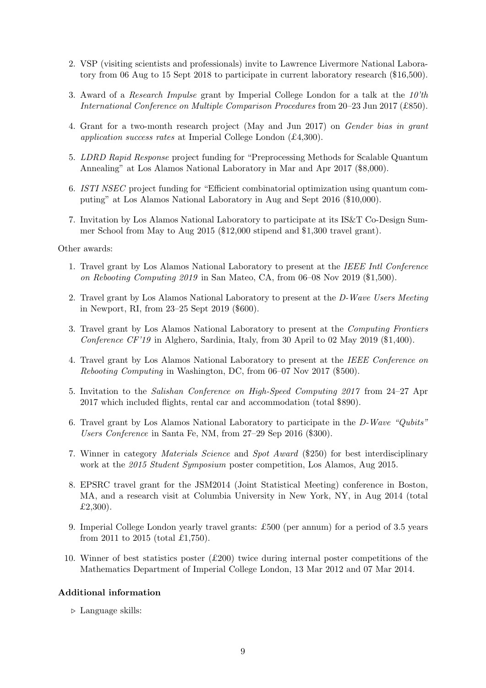- 2. VSP (visiting scientists and professionals) invite to Lawrence Livermore National Laboratory from 06 Aug to 15 Sept 2018 to participate in current laboratory research (\$16,500).
- 3. Award of a *Research Impulse* grant by Imperial College London for a talk at the  $10<sup>th</sup>$ International Conference on Multiple Comparison Procedures from 20–23 Jun 2017 (£850).
- 4. Grant for a two-month research project (May and Jun 2017) on Gender bias in grant application success rates at Imperial College London (£4,300).
- 5. LDRD Rapid Response project funding for "Preprocessing Methods for Scalable Quantum Annealing" at Los Alamos National Laboratory in Mar and Apr 2017 (\$8,000).
- 6. ISTI NSEC project funding for "Efficient combinatorial optimization using quantum computing" at Los Alamos National Laboratory in Aug and Sept 2016 (\$10,000).
- 7. Invitation by Los Alamos National Laboratory to participate at its IS&T Co-Design Summer School from May to Aug 2015 (\$12,000 stipend and \$1,300 travel grant).

Other awards:

- 1. Travel grant by Los Alamos National Laboratory to present at the IEEE Intl Conference on Rebooting Computing 2019 in San Mateo, CA, from 06–08 Nov 2019 (\$1,500).
- 2. Travel grant by Los Alamos National Laboratory to present at the D-Wave Users Meeting in Newport, RI, from 23–25 Sept 2019 (\$600).
- 3. Travel grant by Los Alamos National Laboratory to present at the Computing Frontiers Conference CF'19 in Alghero, Sardinia, Italy, from 30 April to 02 May 2019 (\$1,400).
- 4. Travel grant by Los Alamos National Laboratory to present at the IEEE Conference on Rebooting Computing in Washington, DC, from 06–07 Nov 2017 (\$500).
- 5. Invitation to the Salishan Conference on High-Speed Computing 2017 from 24–27 Apr 2017 which included flights, rental car and accommodation (total \$890).
- 6. Travel grant by Los Alamos National Laboratory to participate in the D-Wave "Qubits" Users Conference in Santa Fe, NM, from 27–29 Sep 2016 (\$300).
- 7. Winner in category Materials Science and Spot Award (\$250) for best interdisciplinary work at the 2015 Student Symposium poster competition, Los Alamos, Aug 2015.
- 8. EPSRC travel grant for the JSM2014 (Joint Statistical Meeting) conference in Boston, MA, and a research visit at Columbia University in New York, NY, in Aug 2014 (total £2,300).
- 9. Imperial College London yearly travel grants: £500 (per annum) for a period of 3.5 years from 2011 to 2015 (total £1,750).
- 10. Winner of best statistics poster  $(E200)$  twice during internal poster competitions of the Mathematics Department of Imperial College London, 13 Mar 2012 and 07 Mar 2014.

# Additional information

 $\triangleright$  Language skills: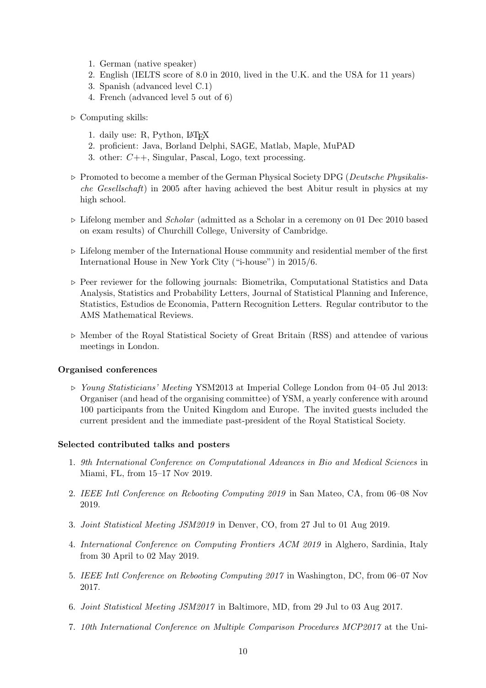- 1. German (native speaker)
- 2. English (IELTS score of 8.0 in 2010, lived in the U.K. and the USA for 11 years)
- 3. Spanish (advanced level C.1)
- 4. French (advanced level 5 out of 6)
- $\triangleright$  Computing skills:
	- 1. daily use: R, Python, LATEX
	- 2. proficient: Java, Borland Delphi, SAGE, Matlab, Maple, MuPAD
	- 3. other: C++, Singular, Pascal, Logo, text processing.
- $\triangleright$  Promoted to become a member of the German Physical Society DPG (*Deutsche Physikalis*che Gesellschaft) in 2005 after having achieved the best Abitur result in physics at my high school.
- $\triangleright$  Lifelong member and *Scholar* (admitted as a Scholar in a ceremony on 01 Dec 2010 based on exam results) of Churchill College, University of Cambridge.
- $\triangleright$  Lifelong member of the International House community and residential member of the first International House in New York City ("i-house") in 2015/6.
- $\triangleright$  Peer reviewer for the following journals: Biometrika, Computational Statistics and Data Analysis, Statistics and Probability Letters, Journal of Statistical Planning and Inference, Statistics, Estudios de Economia, Pattern Recognition Letters. Regular contributor to the AMS Mathematical Reviews.
- $\triangleright$  Member of the Royal Statistical Society of Great Britain (RSS) and attendee of various meetings in London.

# Organised conferences

. Young Statisticians' Meeting YSM2013 at Imperial College London from 04–05 Jul 2013: Organiser (and head of the organising committee) of YSM, a yearly conference with around 100 participants from the United Kingdom and Europe. The invited guests included the current president and the immediate past-president of the Royal Statistical Society.

# Selected contributed talks and posters

- 1. 9th International Conference on Computational Advances in Bio and Medical Sciences in Miami, FL, from 15–17 Nov 2019.
- 2. IEEE Intl Conference on Rebooting Computing 2019 in San Mateo, CA, from 06–08 Nov 2019.
- 3. Joint Statistical Meeting JSM2019 in Denver, CO, from 27 Jul to 01 Aug 2019.
- 4. International Conference on Computing Frontiers ACM 2019 in Alghero, Sardinia, Italy from 30 April to 02 May 2019.
- 5. IEEE Intl Conference on Rebooting Computing 2017 in Washington, DC, from 06–07 Nov 2017.
- 6. Joint Statistical Meeting JSM2017 in Baltimore, MD, from 29 Jul to 03 Aug 2017.
- 7. 10th International Conference on Multiple Comparison Procedures MCP2017 at the Uni-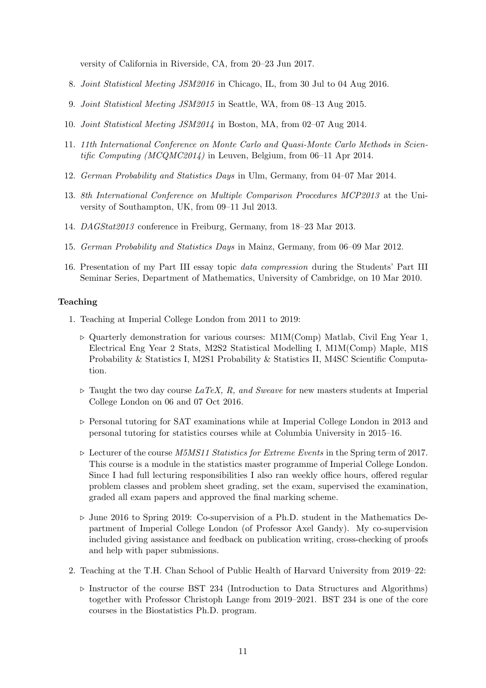versity of California in Riverside, CA, from 20–23 Jun 2017.

- 8. Joint Statistical Meeting JSM2016 in Chicago, IL, from 30 Jul to 04 Aug 2016.
- 9. Joint Statistical Meeting JSM2015 in Seattle, WA, from 08–13 Aug 2015.
- 10. Joint Statistical Meeting JSM2014 in Boston, MA, from 02–07 Aug 2014.
- 11. 11th International Conference on Monte Carlo and Quasi-Monte Carlo Methods in Scientific Computing (MCQMC2014) in Leuven, Belgium, from  $06-11$  Apr 2014.
- 12. German Probability and Statistics Days in Ulm, Germany, from 04–07 Mar 2014.
- 13. 8th International Conference on Multiple Comparison Procedures MCP2013 at the University of Southampton, UK, from 09–11 Jul 2013.
- 14. DAGStat2013 conference in Freiburg, Germany, from 18–23 Mar 2013.
- 15. German Probability and Statistics Days in Mainz, Germany, from 06–09 Mar 2012.
- 16. Presentation of my Part III essay topic data compression during the Students' Part III Seminar Series, Department of Mathematics, University of Cambridge, on 10 Mar 2010.

# Teaching

- 1. Teaching at Imperial College London from 2011 to 2019:
	- $\triangleright$  Quarterly demonstration for various courses: M1M(Comp) Matlab, Civil Eng Year 1, Electrical Eng Year 2 Stats, M2S2 Statistical Modelling I, M1M(Comp) Maple, M1S Probability & Statistics I, M2S1 Probability & Statistics II, M4SC Scientific Computation.
	- $\triangleright$  Taught the two day course LaTeX, R, and Sweave for new masters students at Imperial College London on 06 and 07 Oct 2016.
	- $\triangleright$  Personal tutoring for SAT examinations while at Imperial College London in 2013 and personal tutoring for statistics courses while at Columbia University in 2015–16.
	- $\triangleright$  Lecturer of the course *M5MS11 Statistics for Extreme Events* in the Spring term of 2017. This course is a module in the statistics master programme of Imperial College London. Since I had full lecturing responsibilities I also ran weekly office hours, offered regular problem classes and problem sheet grading, set the exam, supervised the examination, graded all exam papers and approved the final marking scheme.
	- $\triangleright$  June 2016 to Spring 2019: Co-supervision of a Ph.D. student in the Mathematics Department of Imperial College London (of Professor Axel Gandy). My co-supervision included giving assistance and feedback on publication writing, cross-checking of proofs and help with paper submissions.
- 2. Teaching at the T.H. Chan School of Public Health of Harvard University from 2019–22:
	- $\triangleright$  Instructor of the course BST 234 (Introduction to Data Structures and Algorithms) together with Professor Christoph Lange from 2019–2021. BST 234 is one of the core courses in the Biostatistics Ph.D. program.